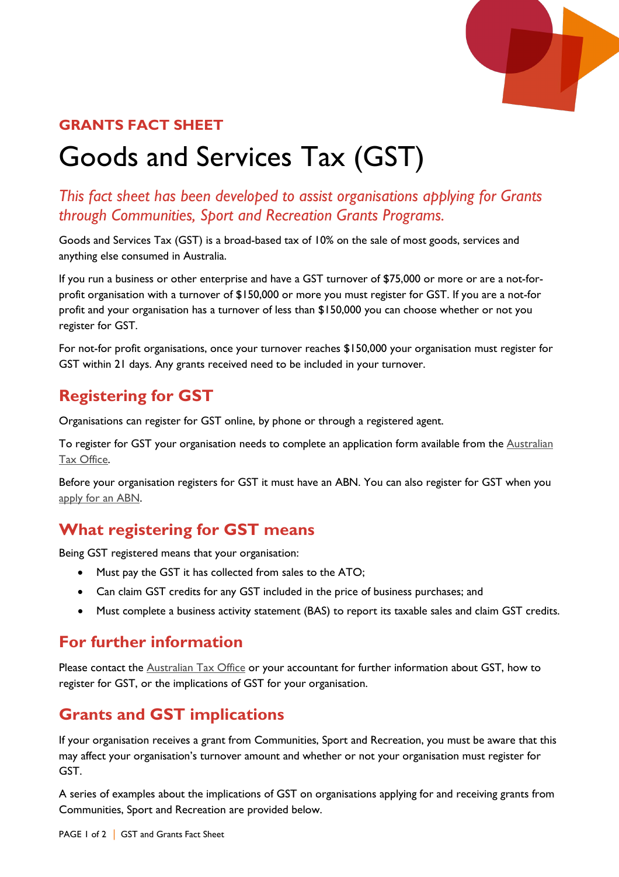

## **GRANTS FACT SHEET**

# Goods and Services Tax (GST)

## *This fact sheet has been developed to assist organisations applying for Grants through Communities, Sport and Recreation Grants Programs.*

Goods and Services Tax (GST) is a broad-based tax of 10% on the sale of most goods, services and anything else consumed in Australia.

If you run a business or other enterprise and have a GST turnover of \$75,000 or more or are a not-forprofit organisation with a turnover of \$150,000 or more you must register for GST. If you are a not-for profit and your organisation has a turnover of less than \$150,000 you can choose whether or not you register for GST.

For not-for profit organisations, once your turnover reaches \$150,000 your organisation must register for GST within 21 days. Any grants received need to be included in your turnover.

# **Registering for GST**

Organisations can register for GST online, by phone or through a registered agent.

To register for GST your organisation needs to complete an application form available from the Australian [Tax Office.](https://www.ato.gov.au/business/gst/registering-for-gst/)

Before your organisation registers for GST it must have an ABN. You can also register for GST when you [apply for an ABN.](https://abr.gov.au/For-Business,-Super-funds---Charities/Applying-for-an-ABN/)

# **What registering for GST means**

Being GST registered means that your organisation:

- Must pay the GST it has collected from sales to the ATO;
- Can claim GST credits for any GST included in the price of business purchases; and
- Must complete a business activity statement (BAS) to report its taxable sales and claim GST credits.

## **For further information**

Please contact the **Australian Tax Office** or your accountant for further information about GST, how to register for GST, or the implications of GST for your organisation.

# **Grants and GST implications**

If your organisation receives a grant from Communities, Sport and Recreation, you must be aware that this may affect your organisation's turnover amount and whether or not your organisation must register for GST.

A series of examples about the implications of GST on organisations applying for and receiving grants from Communities, Sport and Recreation are provided below.